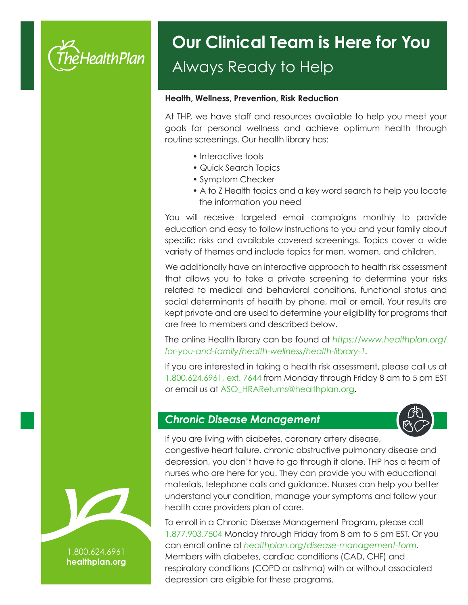

## Always Ready to Help **Our Clinical Team is Here for You**

#### **Health, Wellness, Prevention, Risk Reduction**

At THP, we have staff and resources available to help you meet your goals for personal wellness and achieve optimum health through routine screenings. Our health library has:

- Interactive tools
- Quick Search Topics
- Symptom Checker
- A to Z Health topics and a key word search to help you locate the information you need

You will receive targeted email campaigns monthly to provide education and easy to follow instructions to you and your family about specific risks and available covered screenings. Topics cover a wide variety of themes and include topics for men, women, and children.

We additionally have an interactive approach to health risk assessment that allows you to take a private screening to determine your risks related to medical and behavioral conditions, functional status and social determinants of health by phone, mail or email. Your results are kept private and are used to determine your eligibility for programs that are free to members and described below.

The online Health library can be found at *https://www.healthplan.org/ for-you-and-family/health-wellness/health-library-1.*

If you are interested in taking a health risk assessment, please call us at 1.800.624.6961, ext. 7644 from Monday through Friday 8 am to 5 pm EST or email us at ASO\_HRAReturns@healthplan.org.

#### *Chronic Disease Management*



If you are living with diabetes, coronary artery disease,

congestive heart failure, chronic obstructive pulmonary disease and depression, you don't have to go through it alone. THP has a team of nurses who are here for you. They can provide you with educational materials, telephone calls and guidance. Nurses can help you better understand your condition, manage your symptoms and follow your health care providers plan of care.

To enroll in a Chronic Disease Management Program, please call 1.877.903.7504 Monday through Friday from 8 am to 5 pm EST. Or you can enroll online at *healthplan.org/disease-management-form*. Members with diabetes, cardiac conditions (CAD, CHF) and respiratory conditions (COPD or asthma) with or without associated depression are eligible for these programs.



1.800.624.6961 **healthplan.org**